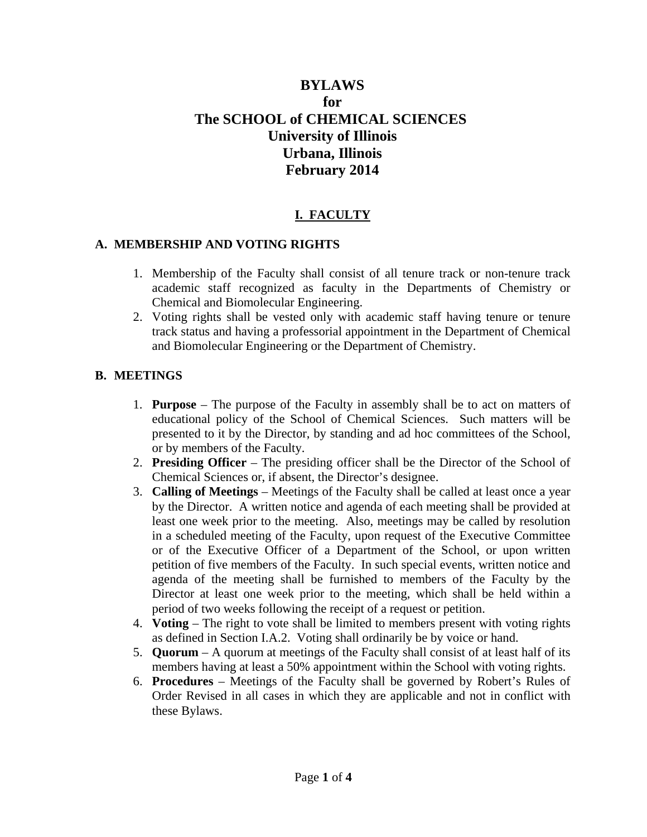# **BYLAWS for The SCHOOL of CHEMICAL SCIENCES University of Illinois Urbana, Illinois February 2014**

# **I. FACULTY**

### **A. MEMBERSHIP AND VOTING RIGHTS**

- 1. Membership of the Faculty shall consist of all tenure track or non-tenure track academic staff recognized as faculty in the Departments of Chemistry or Chemical and Biomolecular Engineering.
- 2. Voting rights shall be vested only with academic staff having tenure or tenure track status and having a professorial appointment in the Department of Chemical and Biomolecular Engineering or the Department of Chemistry.

### **B. MEETINGS**

- 1. **Purpose** The purpose of the Faculty in assembly shall be to act on matters of educational policy of the School of Chemical Sciences. Such matters will be presented to it by the Director, by standing and ad hoc committees of the School, or by members of the Faculty.
- 2. **Presiding Officer** The presiding officer shall be the Director of the School of Chemical Sciences or, if absent, the Director's designee.
- 3. **Calling of Meetings** Meetings of the Faculty shall be called at least once a year by the Director. A written notice and agenda of each meeting shall be provided at least one week prior to the meeting. Also, meetings may be called by resolution in a scheduled meeting of the Faculty, upon request of the Executive Committee or of the Executive Officer of a Department of the School, or upon written petition of five members of the Faculty. In such special events, written notice and agenda of the meeting shall be furnished to members of the Faculty by the Director at least one week prior to the meeting, which shall be held within a period of two weeks following the receipt of a request or petition.
- 4. **Voting** The right to vote shall be limited to members present with voting rights as defined in Section I.A.2. Voting shall ordinarily be by voice or hand.
- 5. **Quorum** A quorum at meetings of the Faculty shall consist of at least half of its members having at least a 50% appointment within the School with voting rights.
- 6. **Procedures** Meetings of the Faculty shall be governed by Robert's Rules of Order Revised in all cases in which they are applicable and not in conflict with these Bylaws.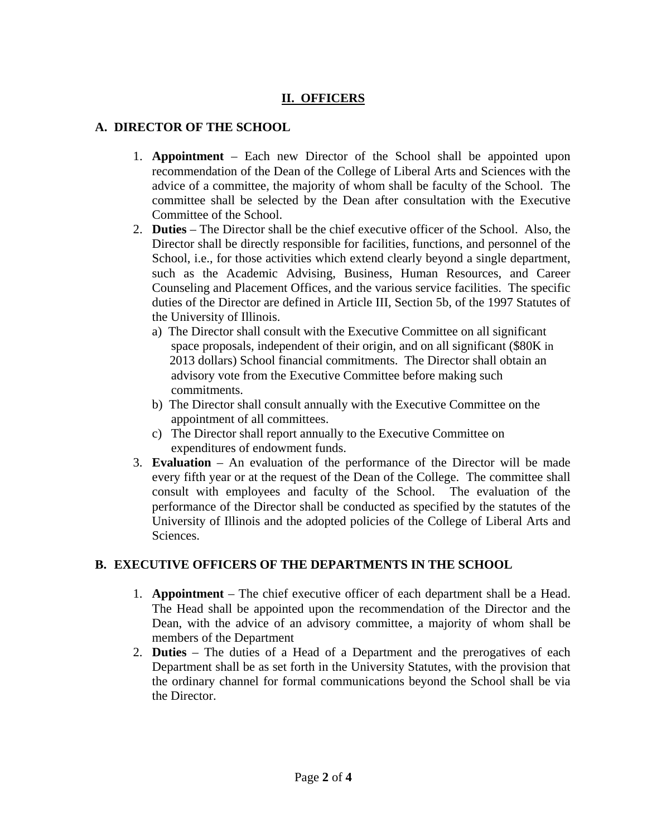# **II. OFFICERS**

## **A. DIRECTOR OF THE SCHOOL**

- 1. **Appointment** Each new Director of the School shall be appointed upon recommendation of the Dean of the College of Liberal Arts and Sciences with the advice of a committee, the majority of whom shall be faculty of the School. The committee shall be selected by the Dean after consultation with the Executive Committee of the School.
- 2. **Duties** The Director shall be the chief executive officer of the School. Also, the Director shall be directly responsible for facilities, functions, and personnel of the School, i.e., for those activities which extend clearly beyond a single department, such as the Academic Advising, Business, Human Resources, and Career Counseling and Placement Offices, and the various service facilities. The specific duties of the Director are defined in Article III, Section 5b, of the 1997 Statutes of the University of Illinois.
	- a) The Director shall consult with the Executive Committee on all significant space proposals, independent of their origin, and on all significant (\$80K in 2013 dollars) School financial commitments. The Director shall obtain an advisory vote from the Executive Committee before making such commitments.
	- b) The Director shall consult annually with the Executive Committee on the appointment of all committees.
	- c) The Director shall report annually to the Executive Committee on expenditures of endowment funds.
- 3. **Evaluation** An evaluation of the performance of the Director will be made every fifth year or at the request of the Dean of the College. The committee shall consult with employees and faculty of the School. The evaluation of the performance of the Director shall be conducted as specified by the statutes of the University of Illinois and the adopted policies of the College of Liberal Arts and Sciences.

#### **B. EXECUTIVE OFFICERS OF THE DEPARTMENTS IN THE SCHOOL**

- 1. **Appointment**  The chief executive officer of each department shall be a Head. The Head shall be appointed upon the recommendation of the Director and the Dean, with the advice of an advisory committee, a majority of whom shall be members of the Department
- 2. **Duties**  The duties of a Head of a Department and the prerogatives of each Department shall be as set forth in the University Statutes, with the provision that the ordinary channel for formal communications beyond the School shall be via the Director.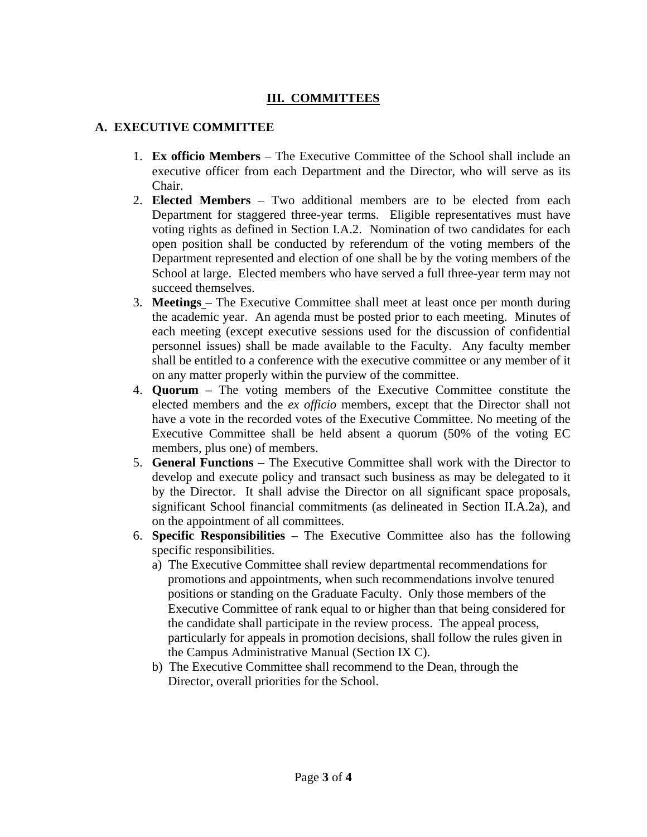# **III. COMMITTEES**

### **A. EXECUTIVE COMMITTEE**

- 1. **Ex officio Members** The Executive Committee of the School shall include an executive officer from each Department and the Director, who will serve as its Chair.
- 2. **Elected Members** Two additional members are to be elected from each Department for staggered three-year terms. Eligible representatives must have voting rights as defined in Section I.A.2. Nomination of two candidates for each open position shall be conducted by referendum of the voting members of the Department represented and election of one shall be by the voting members of the School at large. Elected members who have served a full three-year term may not succeed themselves.
- 3. **Meetings** The Executive Committee shall meet at least once per month during the academic year. An agenda must be posted prior to each meeting. Minutes of each meeting (except executive sessions used for the discussion of confidential personnel issues) shall be made available to the Faculty. Any faculty member shall be entitled to a conference with the executive committee or any member of it on any matter properly within the purview of the committee.
- 4. **Quorum** The voting members of the Executive Committee constitute the elected members and the *ex officio* members, except that the Director shall not have a vote in the recorded votes of the Executive Committee. No meeting of the Executive Committee shall be held absent a quorum (50% of the voting EC members, plus one) of members.
- 5. **General Functions** The Executive Committee shall work with the Director to develop and execute policy and transact such business as may be delegated to it by the Director. It shall advise the Director on all significant space proposals, significant School financial commitments (as delineated in Section II.A.2a), and on the appointment of all committees.
- 6. **Specific Responsibilities** The Executive Committee also has the following specific responsibilities.
	- a) The Executive Committee shall review departmental recommendations for promotions and appointments, when such recommendations involve tenured positions or standing on the Graduate Faculty. Only those members of the Executive Committee of rank equal to or higher than that being considered for the candidate shall participate in the review process. The appeal process, particularly for appeals in promotion decisions, shall follow the rules given in the Campus Administrative Manual (Section IX C).
	- b) The Executive Committee shall recommend to the Dean, through the Director, overall priorities for the School.